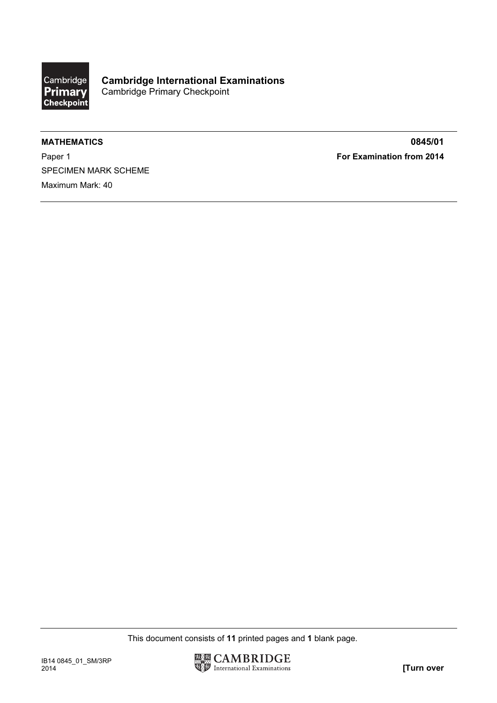

## MATHEMATICS 0845/01

Paper 1 **For Examination from 2014** SPECIMEN MARK SCHEME Maximum Mark: 40

This document consists of 11 printed pages and 1 blank page.

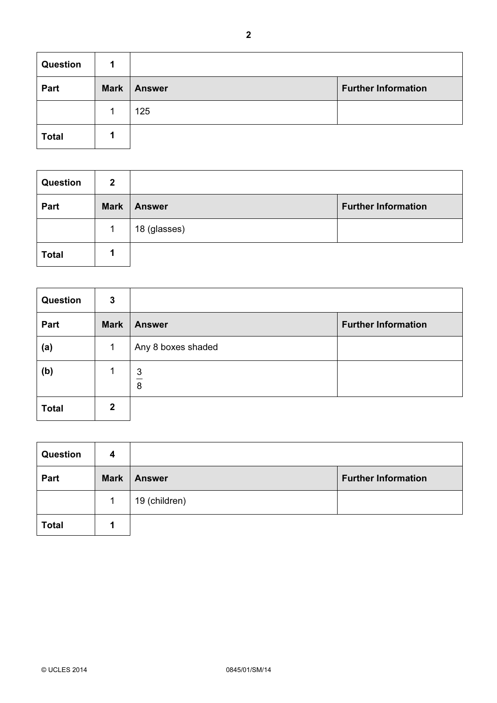| <b>Question</b> |             |               |                            |
|-----------------|-------------|---------------|----------------------------|
| Part            | <b>Mark</b> | <b>Answer</b> | <b>Further Information</b> |
|                 |             | 125           |                            |
| <b>Total</b>    |             |               |                            |

| <b>Question</b> | $\overline{2}$ |               |                            |
|-----------------|----------------|---------------|----------------------------|
| Part            | <b>Mark</b>    | <b>Answer</b> | <b>Further Information</b> |
|                 |                | 18 (glasses)  |                            |
| <b>Total</b>    |                |               |                            |

| Question     | $\mathbf{3}$   |                    |                            |
|--------------|----------------|--------------------|----------------------------|
| Part         | <b>Mark</b>    | <b>Answer</b>      | <b>Further Information</b> |
| (a)          |                | Any 8 boxes shaded |                            |
| (b)          |                | 3<br>8             |                            |
| <b>Total</b> | $\overline{2}$ |                    |                            |

| <b>Question</b> | 4           |               |                            |
|-----------------|-------------|---------------|----------------------------|
| Part            | <b>Mark</b> | <b>Answer</b> | <b>Further Information</b> |
|                 |             | 19 (children) |                            |
| <b>Total</b>    |             |               |                            |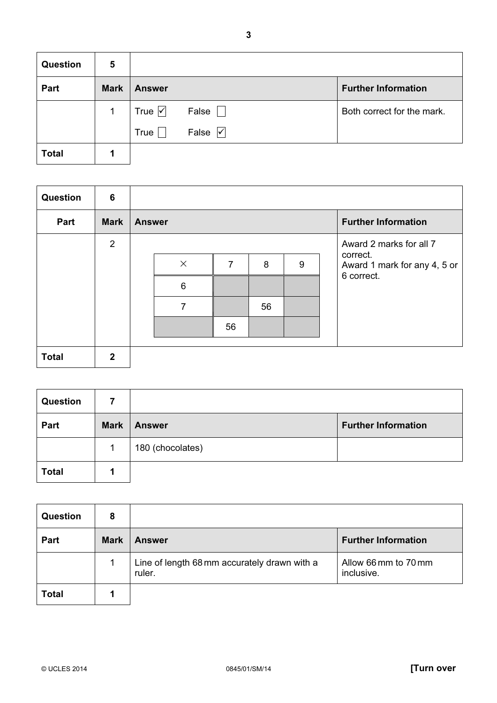| <b>Question</b> | 5           |                   |                               |                            |
|-----------------|-------------|-------------------|-------------------------------|----------------------------|
| Part            | <b>Mark</b> | <b>Answer</b>     |                               | <b>Further Information</b> |
|                 | 1           | True $\sqrt{\ }$  | False $\Box$                  | Both correct for the mark. |
|                 |             | True <sup>[</sup> | False $\overline{\mathsf{v}}$ |                            |
| <b>Total</b>    |             |                   |                               |                            |

| <b>Question</b> | $6\phantom{1}6$ |               |          |    |    |   |                                          |
|-----------------|-----------------|---------------|----------|----|----|---|------------------------------------------|
| Part            | <b>Mark</b>     | <b>Answer</b> |          |    |    |   | <b>Further Information</b>               |
|                 | 2               |               |          |    |    |   | Award 2 marks for all 7                  |
|                 |                 |               | $\times$ | 7  | 8  | 9 | correct.<br>Award 1 mark for any 4, 5 or |
|                 |                 |               | 6        |    |    |   | 6 correct.                               |
|                 |                 |               | 7        |    | 56 |   |                                          |
|                 |                 |               |          | 56 |    |   |                                          |
|                 |                 |               |          |    |    |   |                                          |
| <b>Total</b>    | $\overline{2}$  |               |          |    |    |   |                                          |

| <b>Question</b> |             |                  |                            |
|-----------------|-------------|------------------|----------------------------|
| Part            | <b>Mark</b> | <b>Answer</b>    | <b>Further Information</b> |
|                 |             | 180 (chocolates) |                            |
| <b>Total</b>    |             |                  |                            |

| <b>Question</b> | 8           |                                                        |                                    |
|-----------------|-------------|--------------------------------------------------------|------------------------------------|
| Part            | <b>Mark</b> | <b>Answer</b>                                          | <b>Further Information</b>         |
|                 |             | Line of length 68 mm accurately drawn with a<br>ruler. | Allow 66 mm to 70 mm<br>inclusive. |
| <b>Total</b>    |             |                                                        |                                    |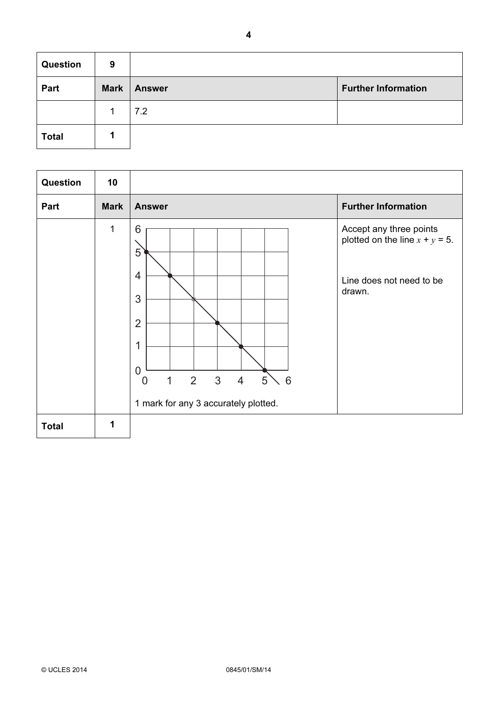| <b>Question</b> | 9           |               |                            |
|-----------------|-------------|---------------|----------------------------|
| Part            | <b>Mark</b> | <b>Answer</b> | <b>Further Information</b> |
|                 |             | 7.2           |                            |
| <b>Total</b>    |             |               |                            |

| Question     | 10          |                                                                                                                                                                                     |                                                                                                    |
|--------------|-------------|-------------------------------------------------------------------------------------------------------------------------------------------------------------------------------------|----------------------------------------------------------------------------------------------------|
| Part         | <b>Mark</b> | <b>Answer</b>                                                                                                                                                                       | <b>Further Information</b>                                                                         |
|              | $\mathbf 1$ | 6<br>5<br>4<br>3<br>$\overline{2}$<br>1<br>$\overline{0}$<br>3<br>$\overline{4}$<br>5<br>$6\phantom{1}6$<br>$\overline{2}$<br>1<br>$\Omega$<br>1 mark for any 3 accurately plotted. | Accept any three points<br>plotted on the line $x + y = 5$ .<br>Line does not need to be<br>drawn. |
| <b>Total</b> | 1           |                                                                                                                                                                                     |                                                                                                    |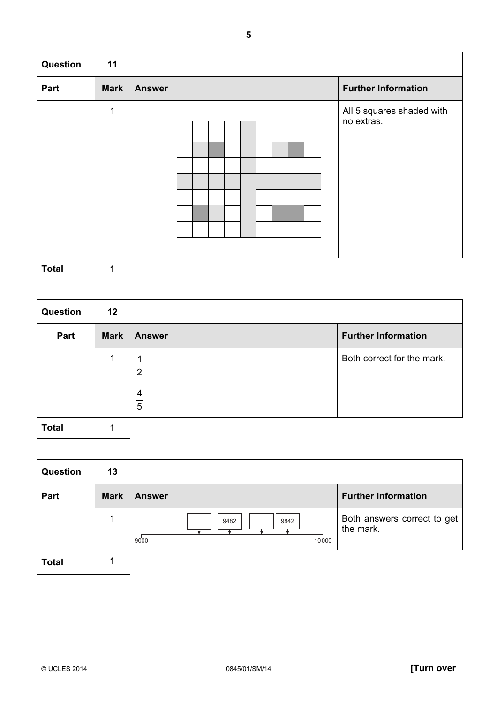| <b>Question</b> | 11          |               |                                         |
|-----------------|-------------|---------------|-----------------------------------------|
| Part            | <b>Mark</b> | <b>Answer</b> | <b>Further Information</b>              |
|                 | 1           |               | All 5 squares shaded with<br>no extras. |
| <b>Total</b>    | 1           |               |                                         |

| Question     | 12          |                |                            |
|--------------|-------------|----------------|----------------------------|
| Part         | <b>Mark</b> | <b>Answer</b>  | <b>Further Information</b> |
|              | 1           | $\overline{2}$ | Both correct for the mark. |
|              |             | $\frac{4}{5}$  |                            |
| <b>Total</b> |             |                |                            |

| <b>Question</b> | 13          |                               |                                          |
|-----------------|-------------|-------------------------------|------------------------------------------|
| Part            | <b>Mark</b> | <b>Answer</b>                 | <b>Further Information</b>               |
|                 |             | 9842<br>9482<br>9000<br>10000 | Both answers correct to get<br>the mark. |
| <b>Total</b>    |             |                               |                                          |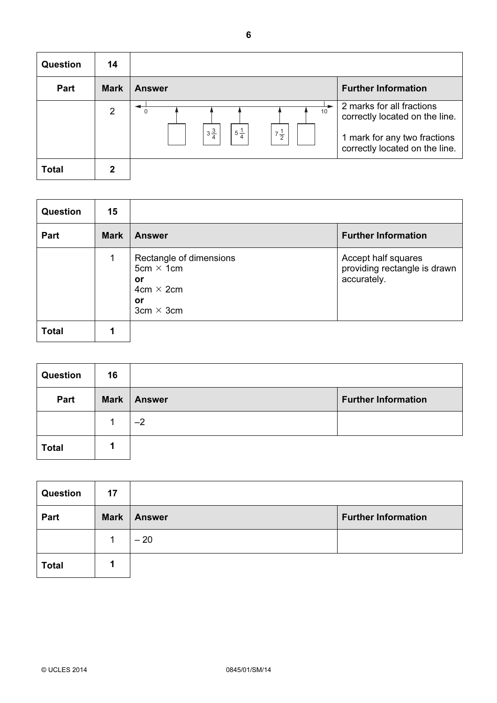| Question     | 14             |                                                               |                                                                                                                               |
|--------------|----------------|---------------------------------------------------------------|-------------------------------------------------------------------------------------------------------------------------------|
| Part         | <b>Mark</b>    | <b>Answer</b>                                                 | <b>Further Information</b>                                                                                                    |
|              | $\overline{2}$ | 10<br>0<br>$3\frac{3}{4}$<br>$5\frac{1}{4}$<br>$7\frac{1}{2}$ | 2 marks for all fractions<br>correctly located on the line.<br>1 mark for any two fractions<br>correctly located on the line. |
| <b>Total</b> | 2              |                                                               |                                                                                                                               |

| <b>Question</b> | 15          |                                                                                                 |                                                                    |
|-----------------|-------------|-------------------------------------------------------------------------------------------------|--------------------------------------------------------------------|
| Part            | <b>Mark</b> | <b>Answer</b>                                                                                   | <b>Further Information</b>                                         |
|                 | 1           | Rectangle of dimensions<br>$5cm \times 1cm$<br>or<br>$4cm \times 2cm$<br>or<br>$3cm \times 3cm$ | Accept half squares<br>providing rectangle is drawn<br>accurately. |
| <b>Total</b>    |             |                                                                                                 |                                                                    |

| <b>Question</b> | 16          |        |                            |
|-----------------|-------------|--------|----------------------------|
| Part            | <b>Mark</b> | Answer | <b>Further Information</b> |
|                 |             | $-2$   |                            |
| <b>Total</b>    |             |        |                            |

| <b>Question</b> | 17          |               |                            |
|-----------------|-------------|---------------|----------------------------|
| Part            | <b>Mark</b> | <b>Answer</b> | <b>Further Information</b> |
|                 |             | $-20$         |                            |
| <b>Total</b>    |             |               |                            |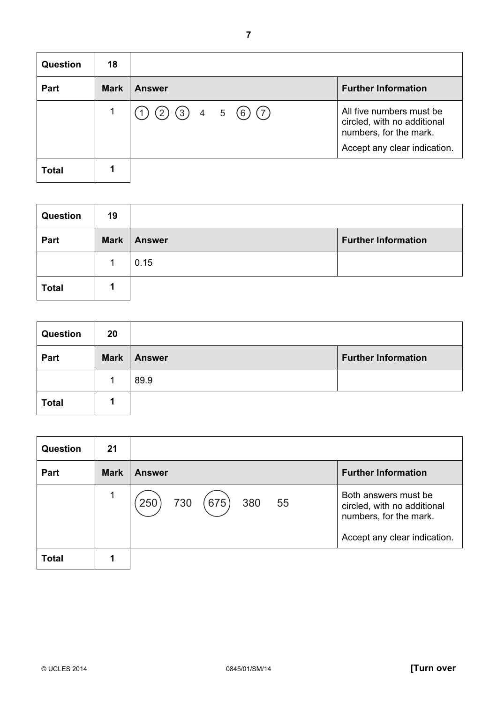| <b>Question</b> | 18          |                                   |                                                                                                                   |
|-----------------|-------------|-----------------------------------|-------------------------------------------------------------------------------------------------------------------|
| Part            | <b>Mark</b> | <b>Answer</b>                     | <b>Further Information</b>                                                                                        |
|                 | 1           | $(1)$ $(2)$ $(3)$ 4 5 $(6)$ $(7)$ | All five numbers must be<br>circled, with no additional<br>numbers, for the mark.<br>Accept any clear indication. |
| <b>Total</b>    |             |                                   |                                                                                                                   |

| <b>Question</b> | 19          |               |                            |
|-----------------|-------------|---------------|----------------------------|
| Part            | <b>Mark</b> | <b>Answer</b> | <b>Further Information</b> |
|                 |             | 0.15          |                            |
| <b>Total</b>    |             |               |                            |

| <b>Question</b> | 20          |               |                            |
|-----------------|-------------|---------------|----------------------------|
| Part            | <b>Mark</b> | <b>Answer</b> | <b>Further Information</b> |
|                 |             | 89.9          |                            |
| <b>Total</b>    |             |               |                            |

| <b>Question</b> | 21          |                         |                                                                                                               |
|-----------------|-------------|-------------------------|---------------------------------------------------------------------------------------------------------------|
| Part            | <b>Mark</b> | <b>Answer</b>           | <b>Further Information</b>                                                                                    |
|                 |             | 730 (675) 380 55<br>250 | Both answers must be<br>circled, with no additional<br>numbers, for the mark.<br>Accept any clear indication. |
| <b>Total</b>    |             |                         |                                                                                                               |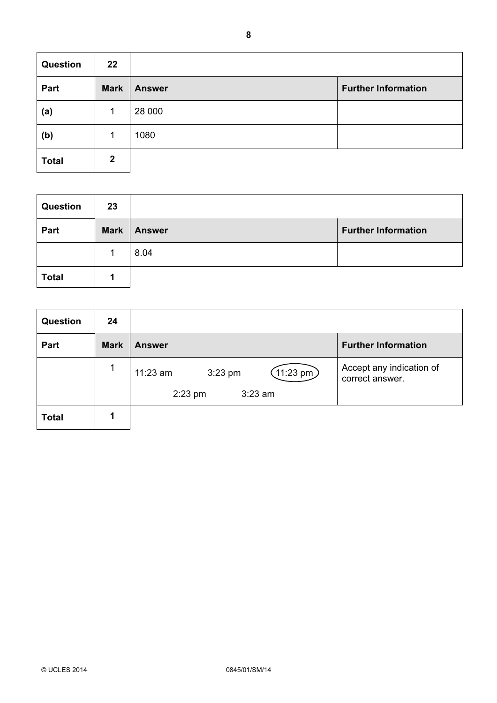| <b>Question</b> | 22             |               |                            |
|-----------------|----------------|---------------|----------------------------|
| Part            | <b>Mark</b>    | <b>Answer</b> | <b>Further Information</b> |
| (a)             | 1              | 28 000        |                            |
| (b)             |                | 1080          |                            |
| <b>Total</b>    | $\overline{2}$ |               |                            |

| <b>Question</b> | 23          |               |                            |
|-----------------|-------------|---------------|----------------------------|
| Part            | <b>Mark</b> | <b>Answer</b> | <b>Further Information</b> |
|                 |             | 8.04          |                            |
| <b>Total</b>    |             |               |                            |

| <b>Question</b> | 24          |                                               |                                             |
|-----------------|-------------|-----------------------------------------------|---------------------------------------------|
| Part            | <b>Mark</b> | <b>Answer</b>                                 | <b>Further Information</b>                  |
|                 | 1           | $(11:23 \text{ pm})$<br>$3:23$ pm<br>11:23 am | Accept any indication of<br>correct answer. |
|                 |             | $3:23$ am<br>$2:23$ pm                        |                                             |
| <b>Total</b>    |             |                                               |                                             |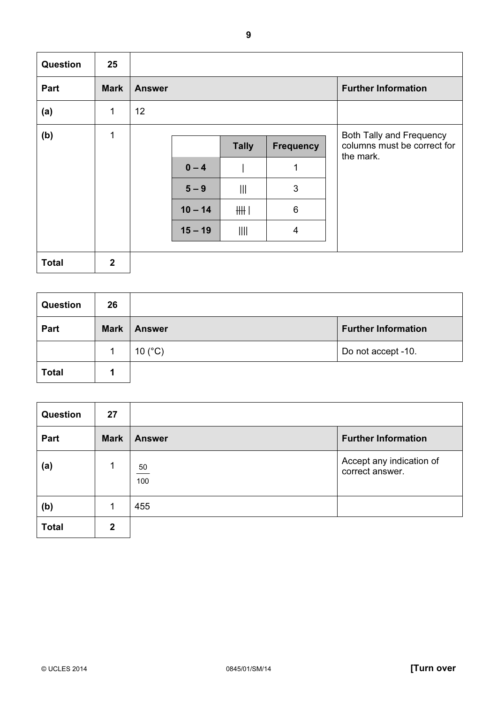| Question     | 25           |               |           |                                   |                          |                                                         |
|--------------|--------------|---------------|-----------|-----------------------------------|--------------------------|---------------------------------------------------------|
| Part         | <b>Mark</b>  | <b>Answer</b> |           |                                   |                          | <b>Further Information</b>                              |
| (a)          | $\mathbf{1}$ | 12            |           |                                   |                          |                                                         |
| (b)          | 1            |               |           | <b>Tally</b>                      | <b>Frequency</b>         | Both Tally and Frequency<br>columns must be correct for |
|              |              |               | $0 - 4$   |                                   | 1                        | the mark.                                               |
|              |              |               | $5-9$     | $\begin{array}{c}    \end{array}$ | 3                        |                                                         |
|              |              |               | $10 - 14$ | HHI                               | $6\phantom{1}$           |                                                         |
|              |              |               | $15 - 19$ | $\parallel$                       | $\overline{\mathcal{A}}$ |                                                         |
| <b>Total</b> | $\mathbf{2}$ |               |           |                                   |                          |                                                         |

| <b>Question</b> | 26          |                  |                            |
|-----------------|-------------|------------------|----------------------------|
| Part            | <b>Mark</b> | <b>Answer</b>    | <b>Further Information</b> |
|                 | 1           | 10 $(^{\circ}C)$ | Do not accept -10.         |
| <b>Total</b>    |             |                  |                            |

| <b>Question</b> | 27             |               |                                             |
|-----------------|----------------|---------------|---------------------------------------------|
| Part            | <b>Mark</b>    | <b>Answer</b> | <b>Further Information</b>                  |
| (a)             | 1              | 50<br>100     | Accept any indication of<br>correct answer. |
| (b)             |                | 455           |                                             |
| <b>Total</b>    | $\overline{2}$ |               |                                             |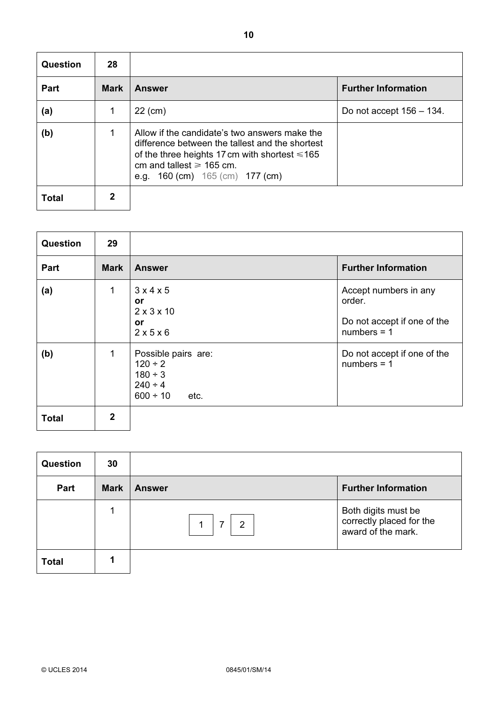| Question     | 28          |                                                                                                                                                                                                                                                           |                             |
|--------------|-------------|-----------------------------------------------------------------------------------------------------------------------------------------------------------------------------------------------------------------------------------------------------------|-----------------------------|
| <b>Part</b>  | <b>Mark</b> | <b>Answer</b>                                                                                                                                                                                                                                             | <b>Further Information</b>  |
| (a)          |             | $22$ (cm)                                                                                                                                                                                                                                                 | Do not accept $156 - 134$ . |
| (b)          |             | Allow if the candidate's two answers make the<br>difference between the tallest and the shortest<br>of the three heights 17 cm with shortest $\leq 165$<br>cm and tallest $\geq 165$ cm.<br>e.g. $160 \text{ (cm)}$ $165 \text{ (cm)}$ $177 \text{ (cm)}$ |                             |
| <b>Total</b> | 2           |                                                                                                                                                                                                                                                           |                             |

| <b>Question</b> | 29             |                                                                                              |                                                                                 |
|-----------------|----------------|----------------------------------------------------------------------------------------------|---------------------------------------------------------------------------------|
| Part            | <b>Mark</b>    | <b>Answer</b>                                                                                | <b>Further Information</b>                                                      |
| (a)             | 1              | 3x4x5<br><b>or</b><br>$2 \times 3 \times 10$<br><b>or</b><br>$2 \times 5 \times 6$           | Accept numbers in any<br>order.<br>Do not accept if one of the<br>$numbers = 1$ |
| (b)             | $\mathbf{1}$   | Possible pairs are:<br>$120 \div 2$<br>$180 \div 3$<br>$240 \div 4$<br>$600 \div 10$<br>etc. | Do not accept if one of the<br>$numbers = 1$                                    |
| <b>Total</b>    | $\overline{2}$ |                                                                                              |                                                                                 |

| <b>Question</b> | 30          |               |                                                                       |
|-----------------|-------------|---------------|-----------------------------------------------------------------------|
| Part            | <b>Mark</b> | <b>Answer</b> | <b>Further Information</b>                                            |
|                 |             | 7<br>2        | Both digits must be<br>correctly placed for the<br>award of the mark. |
| <b>Total</b>    |             |               |                                                                       |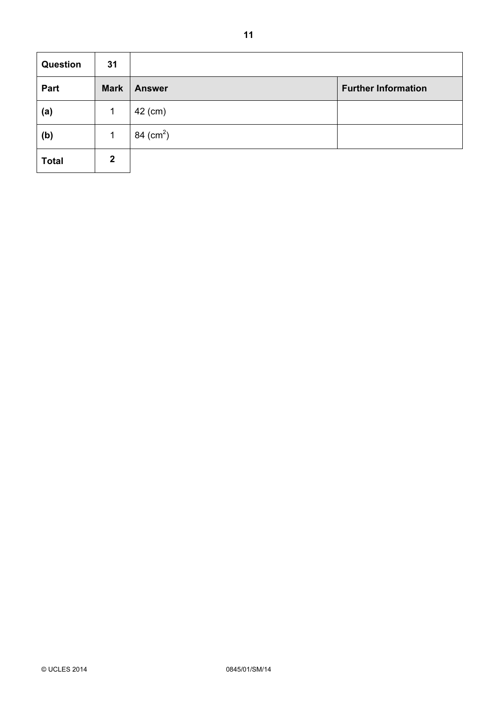| <b>Question</b> | 31             |               |                            |
|-----------------|----------------|---------------|----------------------------|
| Part            | <b>Mark</b>    | <b>Answer</b> | <b>Further Information</b> |
| (a)             | 1              | 42 (cm)       |                            |
| (b)             | 1              | 84 ( $cm2$ )  |                            |
| <b>Total</b>    | $\overline{2}$ |               |                            |